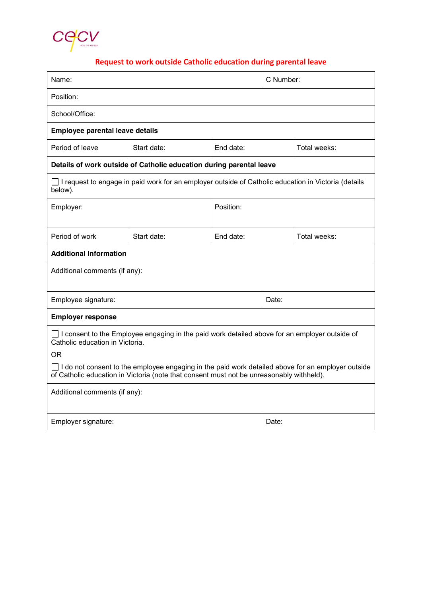

# **Request to work outside Catholic education during parental leave**

| Name:                                                                                                                                                                                                                                                      |             | C Number:                 |       |              |
|------------------------------------------------------------------------------------------------------------------------------------------------------------------------------------------------------------------------------------------------------------|-------------|---------------------------|-------|--------------|
| Position:                                                                                                                                                                                                                                                  |             |                           |       |              |
| School/Office:                                                                                                                                                                                                                                             |             |                           |       |              |
| <b>Employee parental leave details</b>                                                                                                                                                                                                                     |             |                           |       |              |
| Period of leave                                                                                                                                                                                                                                            | Start date: | End date:<br>Total weeks: |       |              |
| Details of work outside of Catholic education during parental leave                                                                                                                                                                                        |             |                           |       |              |
| $\Box$ I request to engage in paid work for an employer outside of Catholic education in Victoria (details<br>below).                                                                                                                                      |             |                           |       |              |
| Employer:                                                                                                                                                                                                                                                  |             | Position:                 |       |              |
| Period of work                                                                                                                                                                                                                                             | Start date: | End date:                 |       | Total weeks: |
| <b>Additional Information</b>                                                                                                                                                                                                                              |             |                           |       |              |
| Additional comments (if any):                                                                                                                                                                                                                              |             |                           |       |              |
| Employee signature:                                                                                                                                                                                                                                        |             | Date:                     |       |              |
| <b>Employer response</b>                                                                                                                                                                                                                                   |             |                           |       |              |
| $\Box$ I consent to the Employee engaging in the paid work detailed above for an employer outside of<br>Catholic education in Victoria.<br>OR.<br>$\Box$ I do not consent to the employee engaging in the paid work detailed above for an employer outside |             |                           |       |              |
| of Catholic education in Victoria (note that consent must not be unreasonably withheld).                                                                                                                                                                   |             |                           |       |              |
| Additional comments (if any):                                                                                                                                                                                                                              |             |                           |       |              |
| Employer signature:                                                                                                                                                                                                                                        |             |                           | Date: |              |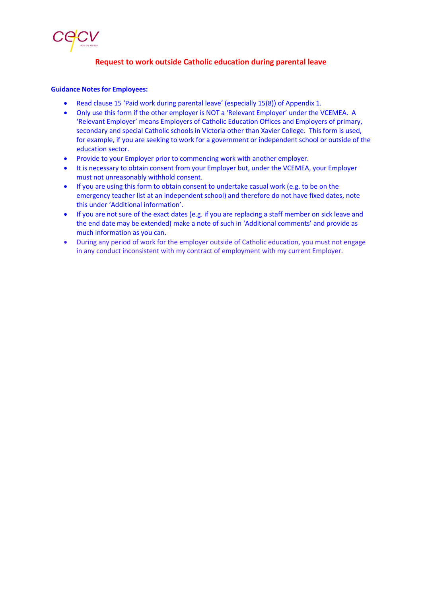

## **Request to work outside Catholic education during parental leave**

#### **Guidance Notes for Employees:**

- x Read clause 15 'Paid work during parental leave' (especially 15(8)) of Appendix 1.
- Only use this form if the other employer is NOT a 'Relevant Employer' under the VCEMEA. A 'Relevant Employer' means Employers of Catholic Education Offices and Employers of primary, secondary and special Catholic schools in Victoria other than Xavier College. This form is used, for example, if you are seeking to work for a government or independent school or outside of the education sector.
- Provide to your Employer prior to commencing work with another employer.
- It is necessary to obtain consent from your Employer but, under the VCEMEA, your Employer must not unreasonably withhold consent.
- If you are using this form to obtain consent to undertake casual work (e.g. to be on the emergency teacher list at an independent school) and therefore do not have fixed dates, note this under 'Additional information'.
- If you are not sure of the exact dates (e.g. if you are replacing a staff member on sick leave and the end date may be extended) make a note of such in 'Additional comments' and provide as much information as you can.
- During any period of work for the employer outside of Catholic education, you must not engage in any conduct inconsistent with my contract of employment with my current Employer.